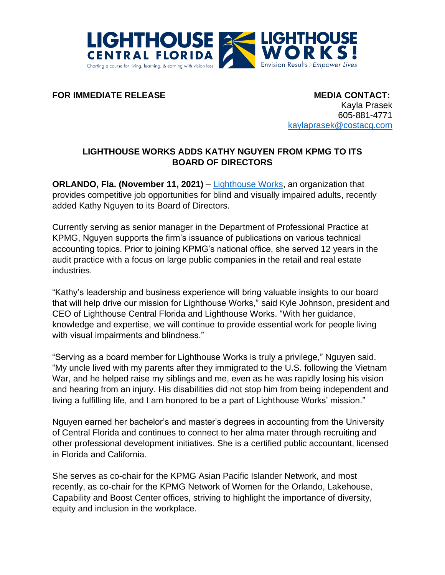

**FOR IMMEDIATE RELEASE MEDIA CONTACT:** 

Kayla Prasek 605-881-4771 [kaylaprasek@costacg.com](mailto:vanessatostes@costacg.com)

## **LIGHTHOUSE WORKS ADDS KATHY NGUYEN FROM KPMG TO ITS BOARD OF DIRECTORS**

**ORLANDO, Fla. (November 11, 2021)** – [Lighthouse Works,](https://www.lighthouseworks.org/) an organization that provides competitive job opportunities for blind and visually impaired adults, recently added Kathy Nguyen to its Board of Directors.

Currently serving as senior manager in the Department of Professional Practice at KPMG, Nguyen supports the firm's issuance of publications on various technical accounting topics. Prior to joining KPMG's national office, she served 12 years in the audit practice with a focus on large public companies in the retail and real estate industries.

"Kathy's leadership and business experience will bring valuable insights to our board that will help drive our mission for Lighthouse Works," said Kyle Johnson, president and CEO of Lighthouse Central Florida and Lighthouse Works. "With her guidance, knowledge and expertise, we will continue to provide essential work for people living with visual impairments and blindness."

"Serving as a board member for Lighthouse Works is truly a privilege," Nguyen said. "My uncle lived with my parents after they immigrated to the U.S. following the Vietnam War, and he helped raise my siblings and me, even as he was rapidly losing his vision and hearing from an injury. His disabilities did not stop him from being independent and living a fulfilling life, and I am honored to be a part of Lighthouse Works' mission."

Nguyen earned her bachelor's and master's degrees in accounting from the University of Central Florida and continues to connect to her alma mater through recruiting and other professional development initiatives. She is a certified public accountant, licensed in Florida and California.

She serves as co-chair for the KPMG Asian Pacific Islander Network, and most recently, as co-chair for the KPMG Network of Women for the Orlando, Lakehouse, Capability and Boost Center offices, striving to highlight the importance of diversity, equity and inclusion in the workplace.